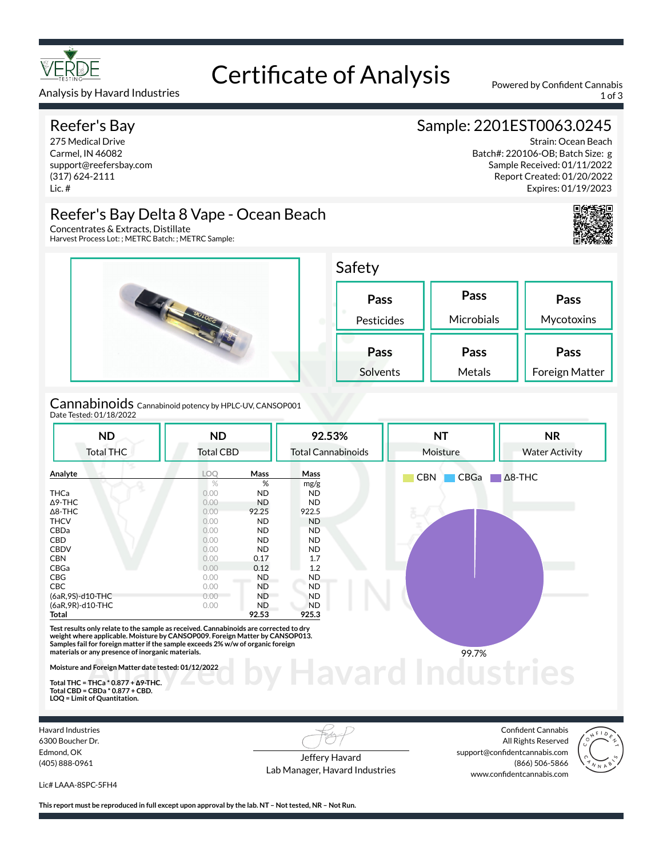

# Certificate of Analysis Powered by Confident Cannabis

Analysis by Havard Industries 1 of 3

#### Reefer's Bay

275 Medical Drive Carmel, IN 46082 support@reefersbay.com (317) 624-2111 Lic. #

# Sample: 2201EST0063.0245

Strain: Ocean Beach Batch#: 220106-OB; Batch Size: g Sample Received: 01/11/2022 Report Created: 01/20/2022 Expires: 01/19/2023





Harvest Process Lot: ; METRC Batch: ; METRC Sample:



Cannabinoids Cannabinoid potency by HPLC-UV, CANSOP001 Date Tested: 01/18/2022

| <b>ND</b>                                                                                                                                                                                                                                                                                                                                                            | <b>ND</b>        |                   | 92.53%                    | <b>NT</b>          | <b>NR</b>             |  |
|----------------------------------------------------------------------------------------------------------------------------------------------------------------------------------------------------------------------------------------------------------------------------------------------------------------------------------------------------------------------|------------------|-------------------|---------------------------|--------------------|-----------------------|--|
| <b>Total THC</b>                                                                                                                                                                                                                                                                                                                                                     | <b>Total CBD</b> |                   | <b>Total Cannabinoids</b> | Moisture           | <b>Water Activity</b> |  |
| Analyte                                                                                                                                                                                                                                                                                                                                                              | <b>LOO</b>       | Mass              | Mass                      | <b>CBN</b><br>CBGa | $\Delta$ 8-THC        |  |
|                                                                                                                                                                                                                                                                                                                                                                      | %                | %                 | mg/g                      |                    |                       |  |
| <b>THCa</b>                                                                                                                                                                                                                                                                                                                                                          | 0.00             | <b>ND</b>         | <b>ND</b>                 |                    |                       |  |
| $\triangle$ 9-THC                                                                                                                                                                                                                                                                                                                                                    | 0.00             | <b>ND</b>         | <b>ND</b>                 |                    |                       |  |
| $\Delta$ 8-THC                                                                                                                                                                                                                                                                                                                                                       | 0.00             | 92.25             | 922.5                     |                    |                       |  |
| <b>THCV</b>                                                                                                                                                                                                                                                                                                                                                          | 0.00             | <b>ND</b>         | <b>ND</b>                 |                    |                       |  |
| CBDa                                                                                                                                                                                                                                                                                                                                                                 | 0.00             | <b>ND</b>         | <b>ND</b>                 |                    |                       |  |
| CBD<br><b>CBDV</b>                                                                                                                                                                                                                                                                                                                                                   | 0.00<br>0.00     | <b>ND</b>         | <b>ND</b>                 |                    |                       |  |
| <b>CBN</b>                                                                                                                                                                                                                                                                                                                                                           | 0.00             | <b>ND</b><br>0.17 | <b>ND</b><br>1.7          |                    |                       |  |
| CBGa                                                                                                                                                                                                                                                                                                                                                                 | 0.00             | 0.12              | 1.2                       |                    |                       |  |
| CBG                                                                                                                                                                                                                                                                                                                                                                  | 0.00             | ND                | ND.                       |                    |                       |  |
| <b>CBC</b>                                                                                                                                                                                                                                                                                                                                                           | 0.00             | <b>ND</b>         | <b>ND</b>                 |                    |                       |  |
| (6aR,9S)-d10-THC                                                                                                                                                                                                                                                                                                                                                     | $0.00 -$         | <b>ND</b>         | <b>ND</b>                 |                    |                       |  |
| (6aR, 9R)-d10-THC                                                                                                                                                                                                                                                                                                                                                    | 0.00             | ND.               | <b>ND</b>                 |                    |                       |  |
| Total                                                                                                                                                                                                                                                                                                                                                                |                  | 92.53             | 925.3                     |                    |                       |  |
| Test results only relate to the sample as received. Cannabinoids are corrected to dry<br>weight where applicable. Moisture by CANSOP009. Foreign Matter by CANSOP013.<br>Samples fail for foreign matter if the sample exceeds 2% w/w of organic foreign<br>materials or any presence of inorganic materials.<br>Moisture and Foreign Matter date tested: 01/12/2022 |                  |                   |                           | 99.7%              |                       |  |

**Total THC = THCa \* 0.877 + ∆9-THC. Total CBD = CBDa \* 0.877 + CBD. LOQ = Limit of Quantitation.**

Havard Industries 6300 Boucher Dr. Edmond, OK (405) 888-0961

Jeffery Havard Lab Manager, Havard Industries

Confident Cannabis All Rights Reserved support@confidentcannabis.com (866) 506-5866 www.confidentcannabis.com



Lic# LAAA-8SPC-5FH4

**This report must be reproduced in full except upon approval by the lab. NT – Not tested, NR – Not Run.**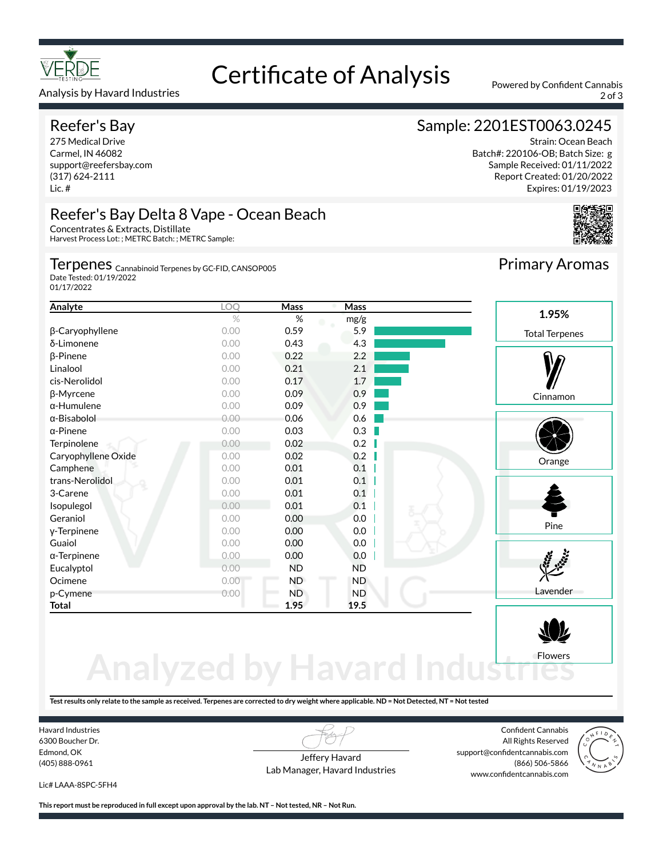

#### Analysis by Havard Industries 2 of 3

### Reefer's Bay

275 Medical Drive Carmel, IN 46082 support@reefersbay.com (317) 624-2111 Lic. #

# Certificate of Analysis Powered by Confident Cannabis

# Sample: 2201EST0063.0245

Strain: Ocean Beach Batch#: 220106-OB; Batch Size: g Sample Received: 01/11/2022 Report Created: 01/20/2022 Expires: 01/19/2023



### Reefer's Bay Delta 8 Vape - Ocean Beach

Concentrates & Extracts, Distillate Harvest Process Lot: ; METRC Batch: ; METRC Sample:

#### Terpenes <sub>Cannabinoid Terpenes by GC-FID, CANSOP005</sub>

Date Tested: 01/19/2022 01/17/2022

| Analyte             | LOQ  | Mass      | Mass      |                       |
|---------------------|------|-----------|-----------|-----------------------|
|                     | $\%$ | %         | mg/g      | 1.95%                 |
| β-Caryophyllene     | 0.00 | 0.59      | 5.9       | <b>Total Terpenes</b> |
| δ-Limonene          | 0.00 | 0.43      | 4.3       |                       |
| $\beta$ -Pinene     | 0.00 | 0.22      | 2.2       |                       |
| Linalool            | 0.00 | 0.21      | 2.1       |                       |
| cis-Nerolidol       | 0.00 | 0.17      | 1.7       |                       |
| $\beta$ -Myrcene    | 0.00 | 0.09      | 0.9       | Cinnamon              |
| $\alpha$ -Humulene  | 0.00 | 0.09      | 0.9       |                       |
| α-Bisabolol         | 0.00 | 0.06      | 0.6       |                       |
| $\alpha$ -Pinene    | 0.00 | 0.03      | 0.3       |                       |
| Terpinolene         | 0.00 | 0.02      | 0.2       |                       |
| Caryophyllene Oxide | 0.00 | 0.02      | 0.2       | Orange                |
| Camphene            | 0.00 | 0.01      | 0.1       |                       |
| trans-Nerolidol     | 0.00 | 0.01      | 0.1       |                       |
| 3-Carene            | 0.00 | 0.01      | 0.1       |                       |
| Isopulegol          | 0.00 | 0.01      | 0.1       |                       |
| Geraniol            | 0.00 | 0.00      | 0.0       |                       |
| y-Terpinene         | 0.00 | 0.00      | 0.0       | Pine                  |
| Guaiol              | 0.00 | 0.00      | 0.0       |                       |
| $\alpha$ -Terpinene | 0.00 | 0.00      | 0.0       |                       |
| Eucalyptol          | 0.00 | <b>ND</b> | <b>ND</b> |                       |
| Ocimene             | 0.00 | <b>ND</b> | ND.       |                       |
| p-Cymene            | 0.00 | <b>ND</b> | <b>ND</b> | Lavender              |
| Total               |      | 1.95      | 19.5      |                       |

# **Analyzed by Havard Indust** Flowers

**Test results only relate to the sample as received. Terpenes are corrected to dry weight where applicable. ND = Not Detected, NT = Not tested**

Havard Industries 6300 Boucher Dr. Edmond, OK (405) 888-0961

Jeffery Havard Lab Manager, Havard Industries

Confident Cannabis All Rights Reserved support@confidentcannabis.com (866) 506-5866 www.confidentcannabis.com



Lic# LAAA-8SPC-5FH4

**This report must be reproduced in full except upon approval by the lab. NT – Not tested, NR – Not Run.**

Primary Aromas